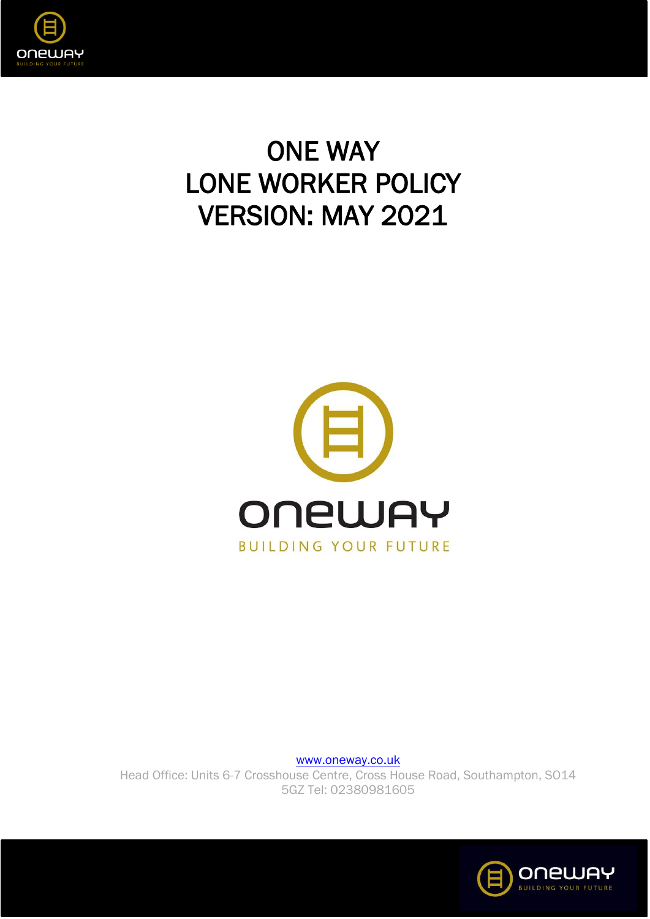

# ONE WAY LONE WORKER POLICY VERSION: MAY 2021



[www.oneway.co.uk](http://www.oneway.co.uk/) Head Office: Units 6-7 Crosshouse Centre, Cross House Road, Southampton, SO14 5GZ Tel: 02380981605

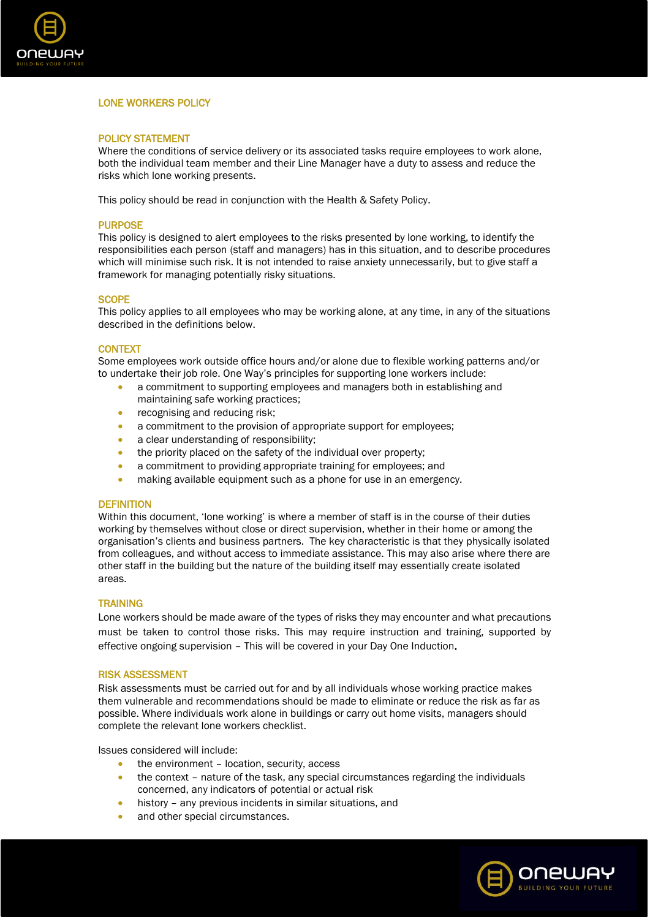

## LONE WORKERS POLICY

## POLICY STATEMENT

Where the conditions of service delivery or its associated tasks require employees to work alone, both the individual team member and their Line Manager have a duty to assess and reduce the risks which lone working presents.

This policy should be read in conjunction with the Health & Safety Policy.

## **PURPOSE**

This policy is designed to alert employees to the risks presented by lone working, to identify the responsibilities each person (staff and managers) has in this situation, and to describe procedures which will minimise such risk. It is not intended to raise anxiety unnecessarily, but to give staff a framework for managing potentially risky situations.

## **SCOPE**

This policy applies to all employees who may be working alone, at any time, in any of the situations described in the definitions below.

## **CONTEXT**

Some employees work outside office hours and/or alone due to flexible working patterns and/or to undertake their job role. One Way's principles for supporting lone workers include:

- a commitment to supporting employees and managers both in establishing and maintaining safe working practices;
- recognising and reducing risk;
- a commitment to the provision of appropriate support for employees;
- a clear understanding of responsibility:
- the priority placed on the safety of the individual over property;
- a commitment to providing appropriate training for employees; and
- making available equipment such as a phone for use in an emergency.

#### **DEFINITION**

Within this document, 'lone working' is where a member of staff is in the course of their duties working by themselves without close or direct supervision, whether in their home or among the organisation's clients and business partners. The key characteristic is that they physically isolated from colleagues, and without access to immediate assistance. This may also arise where there are other staff in the building but the nature of the building itself may essentially create isolated areas.

## **TRAINING**

Lone workers should be made aware of the types of risks they may encounter and what precautions must be taken to control those risks. This may require instruction and training, supported by effective ongoing supervision – This will be covered in your Day One Induction.

## RISK ASSESSMENT

Risk assessments must be carried out for and by all individuals whose working practice makes them vulnerable and recommendations should be made to eliminate or reduce the risk as far as possible. Where individuals work alone in buildings or carry out home visits, managers should complete the relevant lone workers checklist.

Issues considered will include:

- the environment location, security, access
- the context nature of the task, any special circumstances regarding the individuals concerned, any indicators of potential or actual risk
- history any previous incidents in similar situations, and
- and other special circumstances.

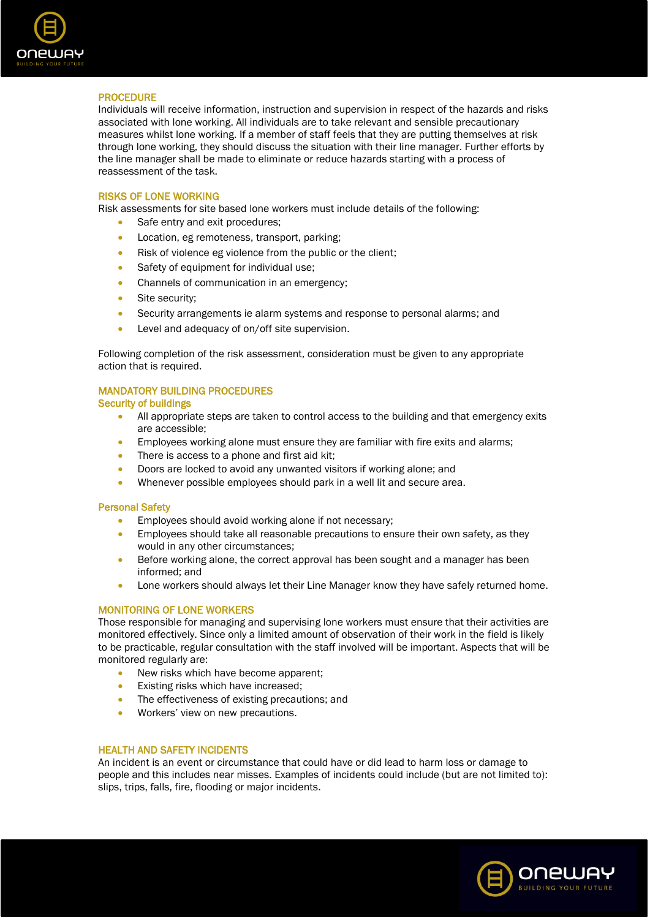

## PROCEDURE

Individuals will receive information, instruction and supervision in respect of the hazards and risks associated with lone working. All individuals are to take relevant and sensible precautionary measures whilst lone working. If a member of staff feels that they are putting themselves at risk through lone working, they should discuss the situation with their line manager. Further efforts by the line manager shall be made to eliminate or reduce hazards starting with a process of reassessment of the task.

## RISKS OF LONE WORKING

Risk assessments for site based lone workers must include details of the following:

- Safe entry and exit procedures:
- Location, eg remoteness, transport, parking;
- Risk of violence eg violence from the public or the client;
- Safety of equipment for individual use;
- Channels of communication in an emergency;
- Site security:
- Security arrangements ie alarm systems and response to personal alarms; and
- Level and adequacy of on/off site supervision.

Following completion of the risk assessment, consideration must be given to any appropriate action that is required.

## MANDATORY BUILDING PROCEDURES

## Security of buildings

- All appropriate steps are taken to control access to the building and that emergency exits are accessible;
- Employees working alone must ensure they are familiar with fire exits and alarms;
- There is access to a phone and first aid kit;
- Doors are locked to avoid any unwanted visitors if working alone; and
- Whenever possible employees should park in a well lit and secure area.

## Personal Safety

- Employees should avoid working alone if not necessary;
- Employees should take all reasonable precautions to ensure their own safety, as they would in any other circumstances;
- Before working alone, the correct approval has been sought and a manager has been informed; and
- Lone workers should always let their Line Manager know they have safely returned home.

## MONITORING OF LONE WORKERS

Those responsible for managing and supervising lone workers must ensure that their activities are monitored effectively. Since only a limited amount of observation of their work in the field is likely to be practicable, regular consultation with the staff involved will be important. Aspects that will be monitored regularly are:

- New risks which have become apparent;
- Existing risks which have increased;
- The effectiveness of existing precautions; and
- Workers' view on new precautions.

## HEALTH AND SAFETY INCIDENTS

An incident is an event or circumstance that could have or did lead to harm loss or damage to people and this includes near misses. Examples of incidents could include (but are not limited to): slips, trips, falls, fire, flooding or major incidents.